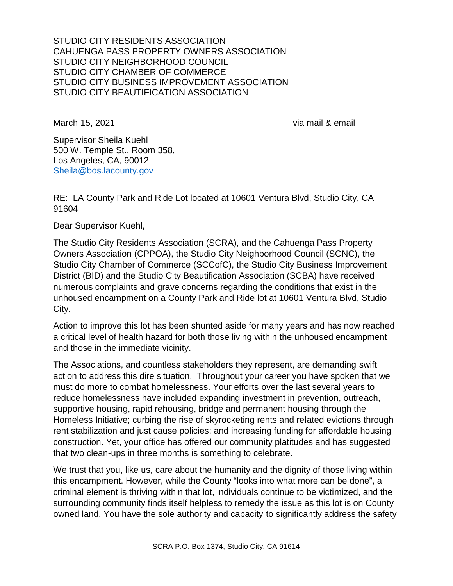March 15, 2021 via mail & email

Supervisor Sheila Kuehl 500 W. Temple St., Room 358, Los Angeles, CA, 90012 Sheila@bos.lacounty.gov

RE: LA County Park and Ride Lot located at 10601 Ventura Blvd, Studio City, CA 91604

Dear Supervisor Kuehl,

The Studio City Residents Association (SCRA), and the Cahuenga Pass Property Owners Association (CPPOA), the Studio City Neighborhood Council (SCNC), the Studio City Chamber of Commerce (SCCofC), the Studio City Business Improvement District (BID) and the Studio City Beautification Association (SCBA) have received numerous complaints and grave concerns regarding the conditions that exist in the unhoused encampment on a County Park and Ride lot at 10601 Ventura Blvd, Studio City.

Action to improve this lot has been shunted aside for many years and has now reached a critical level of health hazard for both those living within the unhoused encampment and those in the immediate vicinity.

The Associations, and countless stakeholders they represent, are demanding swift action to address this dire situation. Throughout your career you have spoken that we must do more to combat homelessness. Your efforts over the last several years to reduce homelessness have included expanding investment in prevention, outreach, supportive housing, rapid rehousing, bridge and permanent housing through the Homeless Initiative; curbing the rise of skyrocketing rents and related evictions through rent stabilization and just cause policies; and increasing funding for affordable housing construction. Yet, your office has offered our community platitudes and has suggested that two clean-ups in three months is something to celebrate.

We trust that you, like us, care about the humanity and the dignity of those living within this encampment. However, while the County "looks into what more can be done", a criminal element is thriving within that lot, individuals continue to be victimized, and the surrounding community finds itself helpless to remedy the issue as this lot is on County owned land. You have the sole authority and capacity to significantly address the safety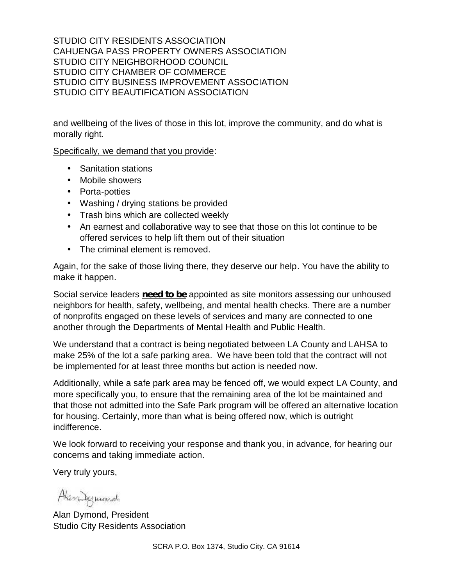and wellbeing of the lives of those in this lot, improve the community, and do what is morally right.

Specifically, we demand that you provide:

- Sanitation stations
- Mobile showers
- Porta-potties
- Washing / drying stations be provided
- Trash bins which are collected weekly
- An earnest and collaborative way to see that those on this lot continue to be offered services to help lift them out of their situation
- The criminal element is removed.

Again, for the sake of those living there, they deserve our help. You have the ability to make it happen.

Social service leaders **need to be** appointed as site monitors assessing our unhoused neighbors for health, safety, wellbeing, and mental health checks. There are a number of nonprofits engaged on these levels of services and many are connected to one another through the Departments of Mental Health and Public Health.

We understand that a contract is being negotiated between LA County and LAHSA to make 25% of the lot a safe parking area. We have been told that the contract will not be implemented for at least three months but action is needed now.

Additionally, while a safe park area may be fenced off, we would expect LA County, and more specifically you, to ensure that the remaining area of the lot be maintained and that those not admitted into the Safe Park program will be offered an alternative location for housing. Certainly, more than what is being offered now, which is outright indifference.

We look forward to receiving your response and thank you, in advance, for hearing our concerns and taking immediate action.

Very truly yours,

Alandamand

Alan Dymond, President Studio City Residents Association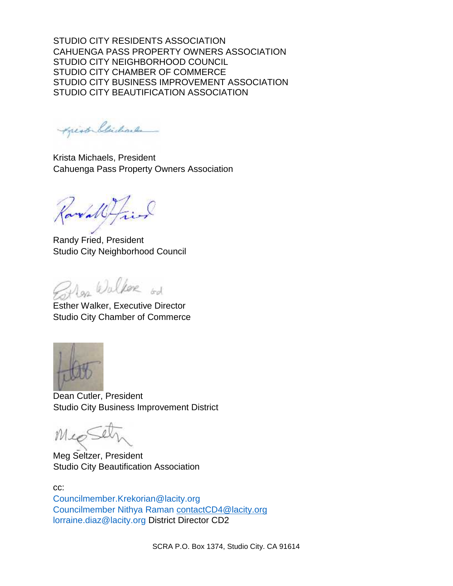Apisto blicharles

Krista Michaels, President Cahuenga Pass Property Owners Association

areally

Randy Fried, President Studio City Neighborhood Council

Mar Walker  $k$ 

Esther Walker, Executive Director Studio City Chamber of Commerce



Dean Cutler, President Studio City Business Improvement District

Mie

Meg Seltzer, President Studio City Beautification Association

cc: Councilmember.Krekorian@lacity.org Councilmember Nithya Raman contactCD4@lacity.org lorraine.diaz@lacity.org District Director CD2